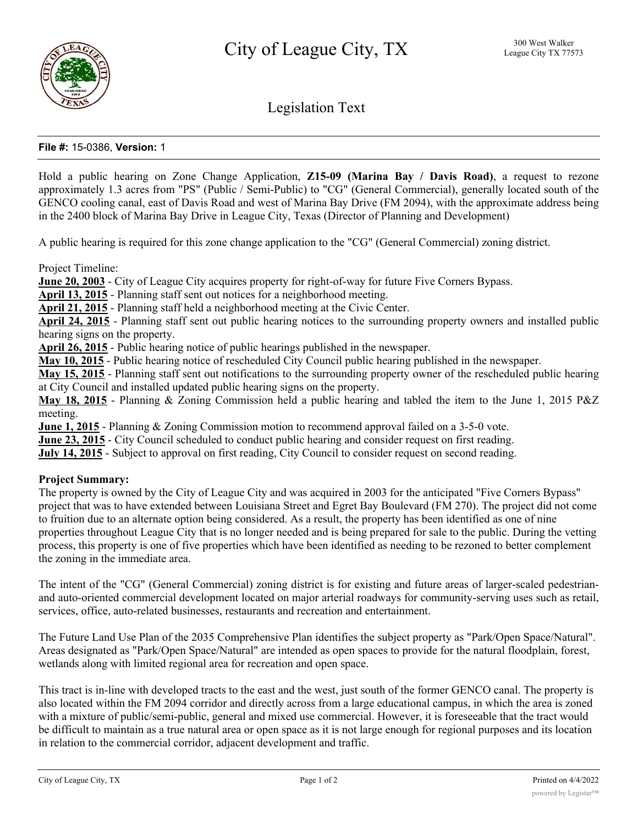

Legislation Text

# **File #:** 15-0386, **Version:** 1

Hold a public hearing on Zone Change Application, **Z15-09 (Marina Bay / Davis Road)**, a request to rezone approximately 1.3 acres from "PS" (Public / Semi-Public) to "CG" (General Commercial), generally located south of the GENCO cooling canal, east of Davis Road and west of Marina Bay Drive (FM 2094), with the approximate address being in the 2400 block of Marina Bay Drive in League City, Texas (Director of Planning and Development)

A public hearing is required for this zone change application to the "CG" (General Commercial) zoning district.

Project Timeline:

**June 20, 2003** - City of League City acquires property for right-of-way for future Five Corners Bypass.

**April 13, 2015** - Planning staff sent out notices for a neighborhood meeting.

**April 21, 2015** - Planning staff held a neighborhood meeting at the Civic Center.

**April 24, 2015** - Planning staff sent out public hearing notices to the surrounding property owners and installed public hearing signs on the property.

**April 26, 2015** - Public hearing notice of public hearings published in the newspaper.

**May 10, 2015** - Public hearing notice of rescheduled City Council public hearing published in the newspaper.

**May 15, 2015** - Planning staff sent out notifications to the surrounding property owner of the rescheduled public hearing at City Council and installed updated public hearing signs on the property.

**May 18, 2015** - Planning & Zoning Commission held a public hearing and tabled the item to the June 1, 2015 P&Z meeting.

**June 1, 2015** - Planning & Zoning Commission motion to recommend approval failed on a 3-5-0 vote.

**June 23, 2015** - City Council scheduled to conduct public hearing and consider request on first reading.

**July 14, 2015** - Subject to approval on first reading, City Council to consider request on second reading.

#### **Project Summary:**

The property is owned by the City of League City and was acquired in 2003 for the anticipated "Five Corners Bypass" project that was to have extended between Louisiana Street and Egret Bay Boulevard (FM 270). The project did not come to fruition due to an alternate option being considered. As a result, the property has been identified as one of nine properties throughout League City that is no longer needed and is being prepared for sale to the public. During the vetting process, this property is one of five properties which have been identified as needing to be rezoned to better complement the zoning in the immediate area.

The intent of the "CG" (General Commercial) zoning district is for existing and future areas of larger-scaled pedestrianand auto-oriented commercial development located on major arterial roadways for community-serving uses such as retail, services, office, auto-related businesses, restaurants and recreation and entertainment.

The Future Land Use Plan of the 2035 Comprehensive Plan identifies the subject property as "Park/Open Space/Natural". Areas designated as "Park/Open Space/Natural" are intended as open spaces to provide for the natural floodplain, forest, wetlands along with limited regional area for recreation and open space.

This tract is in-line with developed tracts to the east and the west, just south of the former GENCO canal. The property is also located within the FM 2094 corridor and directly across from a large educational campus, in which the area is zoned with a mixture of public/semi-public, general and mixed use commercial. However, it is foreseeable that the tract would be difficult to maintain as a true natural area or open space as it is not large enough for regional purposes and its location in relation to the commercial corridor, adjacent development and traffic.